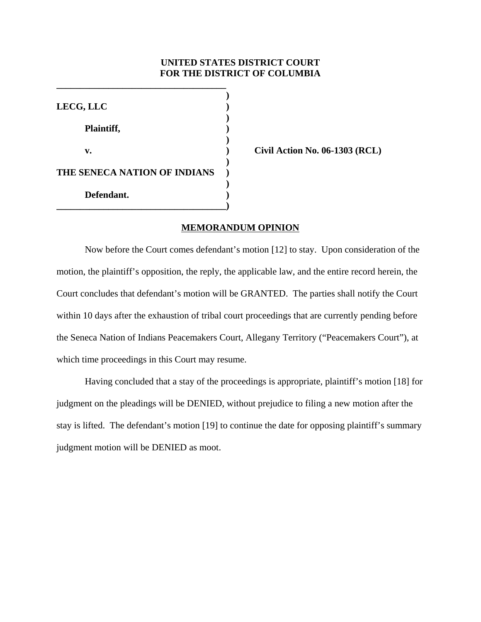# **UNITED STATES DISTRICT COURT FOR THE DISTRICT OF COLUMBIA**

| LECG, LLC                    |  |
|------------------------------|--|
| Plaintiff,                   |  |
| v.                           |  |
| THE SENECA NATION OF INDIANS |  |
| Defendant.                   |  |

**\_\_\_\_\_\_\_\_\_\_\_\_\_\_\_\_\_\_\_\_\_\_\_\_\_\_\_\_\_\_\_\_\_\_\_\_**

**v. ) Civil Action No. 06-1303 (RCL)**

## **MEMORANDUM OPINION**

Now before the Court comes defendant's motion [12] to stay. Upon consideration of the motion, the plaintiff's opposition, the reply, the applicable law, and the entire record herein, the Court concludes that defendant's motion will be GRANTED. The parties shall notify the Court within 10 days after the exhaustion of tribal court proceedings that are currently pending before the Seneca Nation of Indians Peacemakers Court, Allegany Territory ("Peacemakers Court"), at which time proceedings in this Court may resume.

Having concluded that a stay of the proceedings is appropriate, plaintiff's motion [18] for judgment on the pleadings will be DENIED, without prejudice to filing a new motion after the stay is lifted. The defendant's motion [19] to continue the date for opposing plaintiff's summary judgment motion will be DENIED as moot.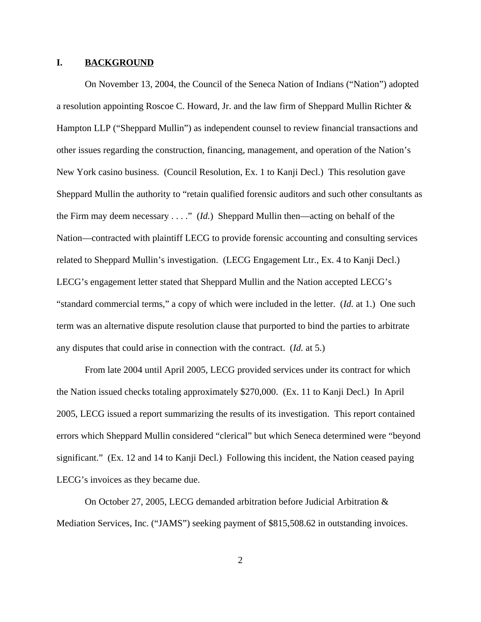### **I. BACKGROUND**

On November 13, 2004, the Council of the Seneca Nation of Indians ("Nation") adopted a resolution appointing Roscoe C. Howard, Jr. and the law firm of Sheppard Mullin Richter  $\&$ Hampton LLP ("Sheppard Mullin") as independent counsel to review financial transactions and other issues regarding the construction, financing, management, and operation of the Nation's New York casino business. (Council Resolution, Ex. 1 to Kanji Decl.) This resolution gave Sheppard Mullin the authority to "retain qualified forensic auditors and such other consultants as the Firm may deem necessary . . . ." (*Id.*) Sheppard Mullin then—acting on behalf of the Nation—contracted with plaintiff LECG to provide forensic accounting and consulting services related to Sheppard Mullin's investigation. (LECG Engagement Ltr., Ex. 4 to Kanji Decl.) LECG's engagement letter stated that Sheppard Mullin and the Nation accepted LECG's "standard commercial terms," a copy of which were included in the letter. (*Id.* at 1.) One such term was an alternative dispute resolution clause that purported to bind the parties to arbitrate any disputes that could arise in connection with the contract. (*Id.* at 5.)

From late 2004 until April 2005, LECG provided services under its contract for which the Nation issued checks totaling approximately \$270,000. (Ex. 11 to Kanji Decl.) In April 2005, LECG issued a report summarizing the results of its investigation. This report contained errors which Sheppard Mullin considered "clerical" but which Seneca determined were "beyond significant." (Ex. 12 and 14 to Kanji Decl.) Following this incident, the Nation ceased paying LECG's invoices as they became due.

On October 27, 2005, LECG demanded arbitration before Judicial Arbitration & Mediation Services, Inc. ("JAMS") seeking payment of \$815,508.62 in outstanding invoices.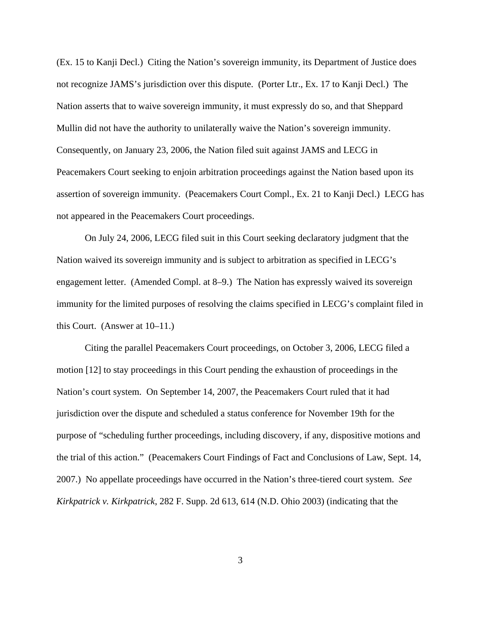(Ex. 15 to Kanji Decl.) Citing the Nation's sovereign immunity, its Department of Justice does not recognize JAMS's jurisdiction over this dispute. (Porter Ltr., Ex. 17 to Kanji Decl.) The Nation asserts that to waive sovereign immunity, it must expressly do so, and that Sheppard Mullin did not have the authority to unilaterally waive the Nation's sovereign immunity. Consequently, on January 23, 2006, the Nation filed suit against JAMS and LECG in Peacemakers Court seeking to enjoin arbitration proceedings against the Nation based upon its assertion of sovereign immunity. (Peacemakers Court Compl., Ex. 21 to Kanji Decl.) LECG has not appeared in the Peacemakers Court proceedings.

On July 24, 2006, LECG filed suit in this Court seeking declaratory judgment that the Nation waived its sovereign immunity and is subject to arbitration as specified in LECG's engagement letter. (Amended Compl. at 8–9.) The Nation has expressly waived its sovereign immunity for the limited purposes of resolving the claims specified in LECG's complaint filed in this Court. (Answer at 10–11.)

Citing the parallel Peacemakers Court proceedings, on October 3, 2006, LECG filed a motion [12] to stay proceedings in this Court pending the exhaustion of proceedings in the Nation's court system. On September 14, 2007, the Peacemakers Court ruled that it had jurisdiction over the dispute and scheduled a status conference for November 19th for the purpose of "scheduling further proceedings, including discovery, if any, dispositive motions and the trial of this action." (Peacemakers Court Findings of Fact and Conclusions of Law, Sept. 14, 2007.) No appellate proceedings have occurred in the Nation's three-tiered court system. *See Kirkpatrick v. Kirkpatrick*, 282 F. Supp. 2d 613, 614 (N.D. Ohio 2003) (indicating that the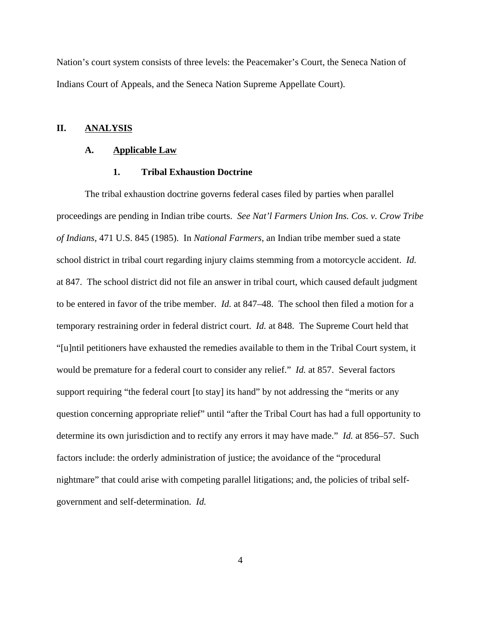Nation's court system consists of three levels: the Peacemaker's Court, the Seneca Nation of Indians Court of Appeals, and the Seneca Nation Supreme Appellate Court).

## **II. ANALYSIS**

#### **A. Applicable Law**

### **1. Tribal Exhaustion Doctrine**

The tribal exhaustion doctrine governs federal cases filed by parties when parallel proceedings are pending in Indian tribe courts. *See Nat'l Farmers Union Ins. Cos. v. Crow Tribe of Indians*, 471 U.S. 845 (1985). In *National Farmers*, an Indian tribe member sued a state school district in tribal court regarding injury claims stemming from a motorcycle accident. *Id.* at 847. The school district did not file an answer in tribal court, which caused default judgment to be entered in favor of the tribe member. *Id.* at 847–48. The school then filed a motion for a temporary restraining order in federal district court. *Id.* at 848. The Supreme Court held that "[u]ntil petitioners have exhausted the remedies available to them in the Tribal Court system, it would be premature for a federal court to consider any relief." *Id.* at 857. Several factors support requiring "the federal court [to stay] its hand" by not addressing the "merits or any question concerning appropriate relief" until "after the Tribal Court has had a full opportunity to determine its own jurisdiction and to rectify any errors it may have made." *Id.* at 856–57. Such factors include: the orderly administration of justice; the avoidance of the "procedural nightmare" that could arise with competing parallel litigations; and, the policies of tribal selfgovernment and self-determination. *Id.*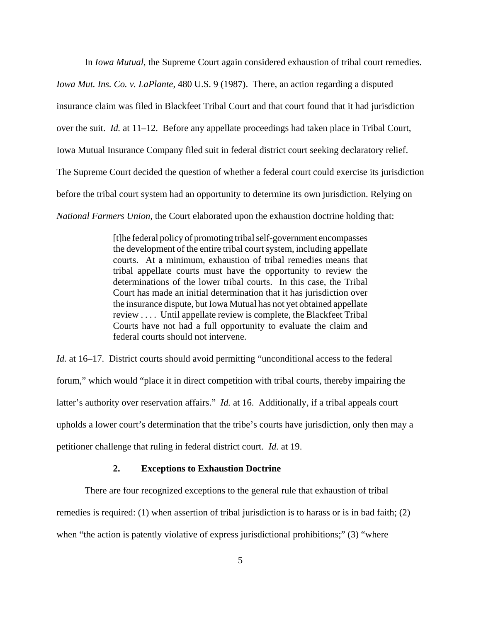In *Iowa Mutual*, the Supreme Court again considered exhaustion of tribal court remedies.

*Iowa Mut. Ins. Co. v. LaPlante*, 480 U.S. 9 (1987). There, an action regarding a disputed insurance claim was filed in Blackfeet Tribal Court and that court found that it had jurisdiction over the suit. *Id.* at 11–12. Before any appellate proceedings had taken place in Tribal Court, Iowa Mutual Insurance Company filed suit in federal district court seeking declaratory relief. The Supreme Court decided the question of whether a federal court could exercise its jurisdiction before the tribal court system had an opportunity to determine its own jurisdiction. Relying on *National Farmers Union*, the Court elaborated upon the exhaustion doctrine holding that:

> [t]he federal policy of promoting tribal self-government encompasses the development of the entire tribal court system, including appellate courts. At a minimum, exhaustion of tribal remedies means that tribal appellate courts must have the opportunity to review the determinations of the lower tribal courts. In this case, the Tribal Court has made an initial determination that it has jurisdiction over the insurance dispute, but Iowa Mutual has not yet obtained appellate review . . . . Until appellate review is complete, the Blackfeet Tribal Courts have not had a full opportunity to evaluate the claim and federal courts should not intervene.

*Id.* at 16–17. District courts should avoid permitting "unconditional access to the federal forum," which would "place it in direct competition with tribal courts, thereby impairing the latter's authority over reservation affairs." *Id.* at 16. Additionally, if a tribal appeals court upholds a lower court's determination that the tribe's courts have jurisdiction, only then may a petitioner challenge that ruling in federal district court. *Id.* at 19.

## **2. Exceptions to Exhaustion Doctrine**

There are four recognized exceptions to the general rule that exhaustion of tribal remedies is required: (1) when assertion of tribal jurisdiction is to harass or is in bad faith; (2) when "the action is patently violative of express jurisdictional prohibitions;" (3) "where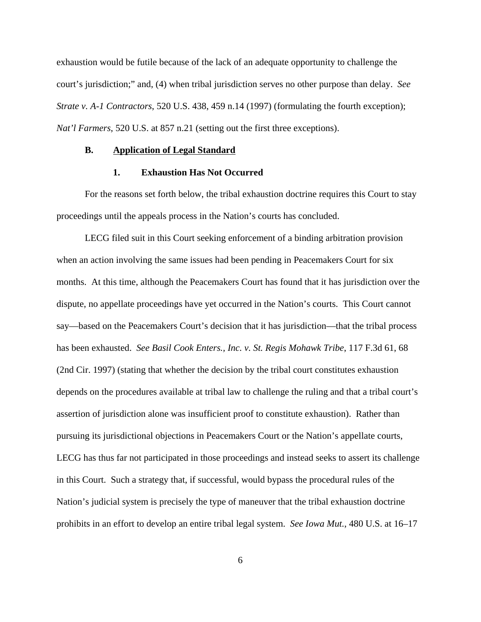exhaustion would be futile because of the lack of an adequate opportunity to challenge the court's jurisdiction;" and, (4) when tribal jurisdiction serves no other purpose than delay. *See Strate v. A-1 Contractors*, 520 U.S. 438, 459 n.14 (1997) (formulating the fourth exception); *Nat'l Farmers*, 520 U.S. at 857 n.21 (setting out the first three exceptions).

### **B. Application of Legal Standard**

### **1. Exhaustion Has Not Occurred**

For the reasons set forth below, the tribal exhaustion doctrine requires this Court to stay proceedings until the appeals process in the Nation's courts has concluded.

LECG filed suit in this Court seeking enforcement of a binding arbitration provision when an action involving the same issues had been pending in Peacemakers Court for six months. At this time, although the Peacemakers Court has found that it has jurisdiction over the dispute, no appellate proceedings have yet occurred in the Nation's courts. This Court cannot say—based on the Peacemakers Court's decision that it has jurisdiction—that the tribal process has been exhausted. *See Basil Cook Enters., Inc. v. St. Regis Mohawk Tribe*, 117 F.3d 61, 68 (2nd Cir. 1997) (stating that whether the decision by the tribal court constitutes exhaustion depends on the procedures available at tribal law to challenge the ruling and that a tribal court's assertion of jurisdiction alone was insufficient proof to constitute exhaustion). Rather than pursuing its jurisdictional objections in Peacemakers Court or the Nation's appellate courts, LECG has thus far not participated in those proceedings and instead seeks to assert its challenge in this Court. Such a strategy that, if successful, would bypass the procedural rules of the Nation's judicial system is precisely the type of maneuver that the tribal exhaustion doctrine prohibits in an effort to develop an entire tribal legal system. *See Iowa Mut.*, 480 U.S. at 16–17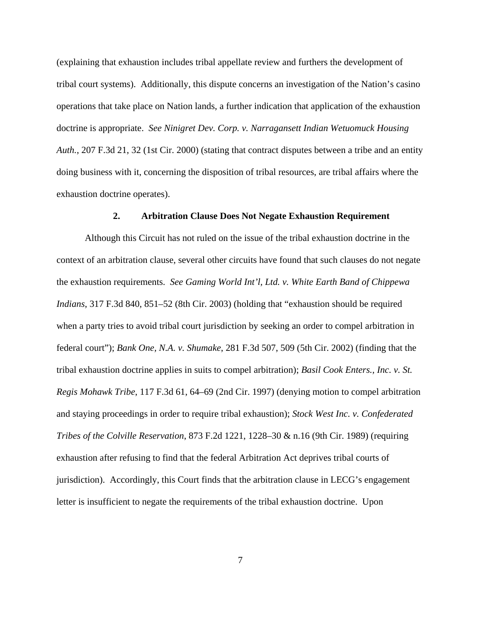(explaining that exhaustion includes tribal appellate review and furthers the development of tribal court systems). Additionally, this dispute concerns an investigation of the Nation's casino operations that take place on Nation lands, a further indication that application of the exhaustion doctrine is appropriate. *See Ninigret Dev. Corp. v. Narragansett Indian Wetuomuck Housing Auth.*, 207 F.3d 21, 32 (1st Cir. 2000) (stating that contract disputes between a tribe and an entity doing business with it, concerning the disposition of tribal resources, are tribal affairs where the exhaustion doctrine operates).

## **2. Arbitration Clause Does Not Negate Exhaustion Requirement**

Although this Circuit has not ruled on the issue of the tribal exhaustion doctrine in the context of an arbitration clause, several other circuits have found that such clauses do not negate the exhaustion requirements. *See Gaming World Int'l, Ltd. v. White Earth Band of Chippewa Indians*, 317 F.3d 840, 851–52 (8th Cir. 2003) (holding that "exhaustion should be required when a party tries to avoid tribal court jurisdiction by seeking an order to compel arbitration in federal court"); *Bank One, N.A. v. Shumake*, 281 F.3d 507, 509 (5th Cir. 2002) (finding that the tribal exhaustion doctrine applies in suits to compel arbitration); *Basil Cook Enters., Inc. v. St. Regis Mohawk Tribe*, 117 F.3d 61, 64–69 (2nd Cir. 1997) (denying motion to compel arbitration and staying proceedings in order to require tribal exhaustion); *Stock West Inc. v. Confederated Tribes of the Colville Reservation*, 873 F.2d 1221, 1228–30 & n.16 (9th Cir. 1989) (requiring exhaustion after refusing to find that the federal Arbitration Act deprives tribal courts of jurisdiction). Accordingly, this Court finds that the arbitration clause in LECG's engagement letter is insufficient to negate the requirements of the tribal exhaustion doctrine. Upon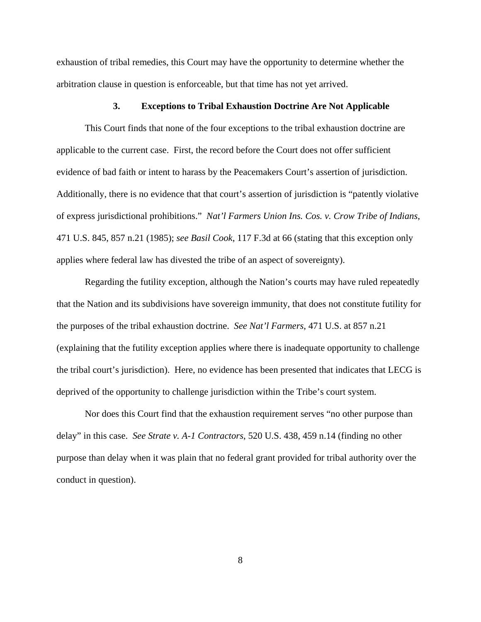exhaustion of tribal remedies, this Court may have the opportunity to determine whether the arbitration clause in question is enforceable, but that time has not yet arrived.

### **3. Exceptions to Tribal Exhaustion Doctrine Are Not Applicable**

This Court finds that none of the four exceptions to the tribal exhaustion doctrine are applicable to the current case. First, the record before the Court does not offer sufficient evidence of bad faith or intent to harass by the Peacemakers Court's assertion of jurisdiction. Additionally, there is no evidence that that court's assertion of jurisdiction is "patently violative of express jurisdictional prohibitions." *Nat'l Farmers Union Ins. Cos. v. Crow Tribe of Indians*, 471 U.S. 845, 857 n.21 (1985); *see Basil Cook*, 117 F.3d at 66 (stating that this exception only applies where federal law has divested the tribe of an aspect of sovereignty).

Regarding the futility exception, although the Nation's courts may have ruled repeatedly that the Nation and its subdivisions have sovereign immunity, that does not constitute futility for the purposes of the tribal exhaustion doctrine. *See Nat'l Farmers*, 471 U.S. at 857 n.21 (explaining that the futility exception applies where there is inadequate opportunity to challenge the tribal court's jurisdiction). Here, no evidence has been presented that indicates that LECG is deprived of the opportunity to challenge jurisdiction within the Tribe's court system.

Nor does this Court find that the exhaustion requirement serves "no other purpose than delay" in this case. *See Strate v. A-1 Contractors*, 520 U.S. 438, 459 n.14 (finding no other purpose than delay when it was plain that no federal grant provided for tribal authority over the conduct in question).